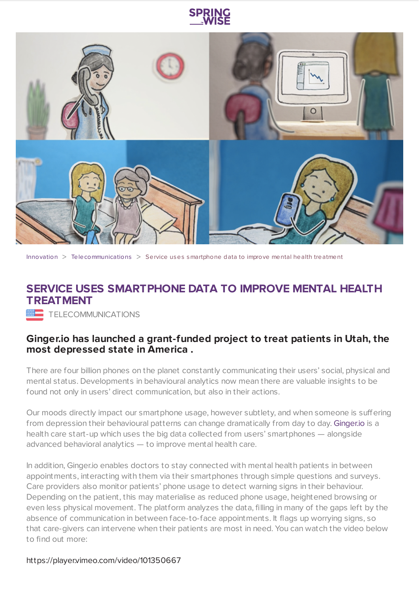



[Innovation](https://www.springwise.com/search?type=innovation) > [Telecommunications](https://www.springwise.com/search?type=innovation§or=telecoms-tech) > Service uses smartphone data to improve mental health treatment

## **SERVICE USES SMARTPHONE DATA TO IMPROVE MENTAL HEALTH TREATMENT**

**WE TELECOMMUNICATIONS** 

## **Ginger.io has launched a grant-funded project to treat patients in Utah, the most depressed state in America .**

There are four billion phones on the planet constantly communicating their users' social, physical and mental status. Developments in behavioural analytics now mean there are valuable insights to be found not only in users' direct communication, but also in their actions.

Our moods directly impact our smartphone usage, however subtlety, and when someone is suffering from depression their behavioural patterns can change dramatically from day to day. [Ginger.io](https://ginger.io/) is a health care start-up which uses the big data collected from users' smartphones — alongside advanced behavioral analytics — to improve mental health care.

In addition, Ginger.io enables doctors to stay connected with mental health patients in between appointments, interacting with them via their smartphones through simple questions and surveys. Care providers also monitor patients' phone usage to detect warning signs in their behaviour. Depending on the patient, this may materialise as reduced phone usage, heightened browsing or even less physical movement. The platform analyzes the data, filling in many of the gaps left by the absence of communication in between face-to-face appointments. It flags up worrying signs, so that care-givers can intervene when their patients are most in need. You can watch the video below to find out more:

https://player.vimeo.com/video/101350667